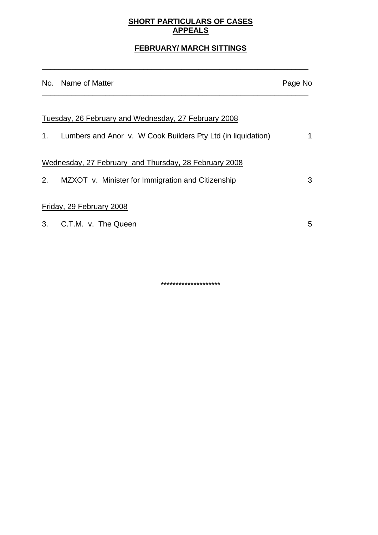## **SHORT PARTICULARS OF CASES APPEALS**

# **FEBRUARY/ MARCH SITTINGS**

\_\_\_\_\_\_\_\_\_\_\_\_\_\_\_\_\_\_\_\_\_\_\_\_\_\_\_\_\_\_\_\_\_\_\_\_\_\_\_\_\_\_\_\_\_\_\_\_\_\_\_\_\_\_\_\_\_\_\_\_\_\_\_

|    | No. Name of Matter                                              | Page No |
|----|-----------------------------------------------------------------|---------|
|    |                                                                 |         |
|    | Tuesday, 26 February and Wednesday, 27 February 2008            |         |
|    | 1. Lumbers and Anor v. W Cook Builders Pty Ltd (in liquidation) | 1       |
|    | Wednesday, 27 February and Thursday, 28 February 2008           |         |
| 2. | MZXOT v. Minister for Immigration and Citizenship               | 3       |
|    | Friday, 29 February 2008                                        |         |
|    | 3. C.T.M. v. The Queen                                          | 5       |

\*\*\*\*\*\*\*\*\*\*\*\*\*\*\*\*\*\*\*\*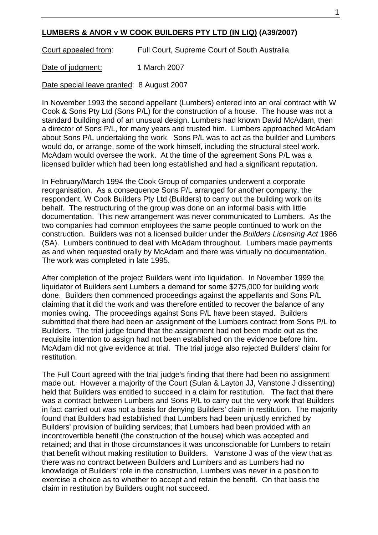### **LUMBERS & ANOR v W COOK BUILDERS PTY LTD (IN LIQ) (A39/2007)**

Court appealed from: Full Court, Supreme Court of South Australia

Date of judgment: 1 March 2007

Date special leave granted: 8 August 2007

In November 1993 the second appellant (Lumbers) entered into an oral contract with W Cook & Sons Pty Ltd (Sons P/L) for the construction of a house. The house was not a standard building and of an unusual design. Lumbers had known David McAdam, then a director of Sons P/L, for many years and trusted him. Lumbers approached McAdam about Sons P/L undertaking the work. Sons P/L was to act as the builder and Lumbers would do, or arrange, some of the work himself, including the structural steel work. McAdam would oversee the work. At the time of the agreement Sons P/L was a licensed builder which had been long established and had a significant reputation.

In February/March 1994 the Cook Group of companies underwent a corporate reorganisation. As a consequence Sons P/L arranged for another company, the respondent, W Cook Builders Pty Ltd (Builders) to carry out the building work on its behalf. The restructuring of the group was done on an informal basis with little documentation. This new arrangement was never communicated to Lumbers. As the two companies had common employees the same people continued to work on the construction. Builders was not a licensed builder under the *Builders Licensing Act* 1986 (SA). Lumbers continued to deal with McAdam throughout. Lumbers made payments as and when requested orally by McAdam and there was virtually no documentation. The work was completed in late 1995.

After completion of the project Builders went into liquidation. In November 1999 the liquidator of Builders sent Lumbers a demand for some \$275,000 for building work done. Builders then commenced proceedings against the appellants and Sons P/L claiming that it did the work and was therefore entitled to recover the balance of any monies owing. The proceedings against Sons P/L have been stayed. Builders submitted that there had been an assignment of the Lumbers contract from Sons P/L to Builders. The trial judge found that the assignment had not been made out as the requisite intention to assign had not been established on the evidence before him. McAdam did not give evidence at trial. The trial judge also rejected Builders' claim for restitution.

The Full Court agreed with the trial judge's finding that there had been no assignment made out. However a majority of the Court (Sulan & Layton JJ, Vanstone J dissenting) held that Builders was entitled to succeed in a claim for restitution. The fact that there was a contract between Lumbers and Sons P/L to carry out the very work that Builders in fact carried out was not a basis for denying Builders' claim in restitution. The majority found that Builders had established that Lumbers had been unjustly enriched by Builders' provision of building services; that Lumbers had been provided with an incontrovertible benefit (the construction of the house) which was accepted and retained; and that in those circumstances it was unconscionable for Lumbers to retain that benefit without making restitution to Builders. Vanstone J was of the view that as there was no contract between Builders and Lumbers and as Lumbers had no knowledge of Builders' role in the construction, Lumbers was never in a position to exercise a choice as to whether to accept and retain the benefit. On that basis the claim in restitution by Builders ought not succeed.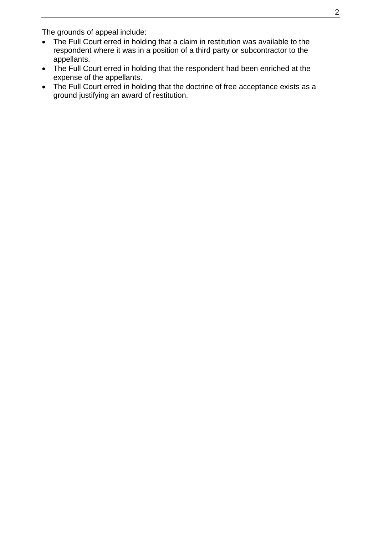The grounds of appeal include:

- The Full Court erred in holding that a claim in restitution was available to the respondent where it was in a position of a third party or subcontractor to the appellants.
- The Full Court erred in holding that the respondent had been enriched at the expense of the appellants.
- The Full Court erred in holding that the doctrine of free acceptance exists as a ground justifying an award of restitution.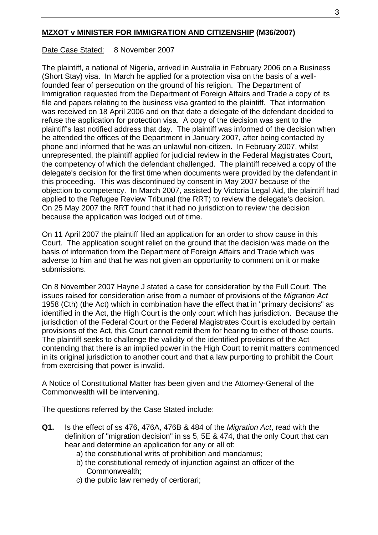### **MZXOT v MINISTER FOR IMMIGRATION AND CITIZENSHIP (M36/2007)**

### Date Case Stated: 8 November 2007

The plaintiff, a national of Nigeria, arrived in Australia in February 2006 on a Business (Short Stay) visa. In March he applied for a protection visa on the basis of a wellfounded fear of persecution on the ground of his religion. The Department of Immigration requested from the Department of Foreign Affairs and Trade a copy of its file and papers relating to the business visa granted to the plaintiff. That information was received on 18 April 2006 and on that date a delegate of the defendant decided to refuse the application for protection visa. A copy of the decision was sent to the plaintiff's last notified address that day. The plaintiff was informed of the decision when he attended the offices of the Department in January 2007, after being contacted by phone and informed that he was an unlawful non-citizen. In February 2007, whilst unrepresented, the plaintiff applied for judicial review in the Federal Magistrates Court, the competency of which the defendant challenged. The plaintiff received a copy of the delegate's decision for the first time when documents were provided by the defendant in this proceeding. This was discontinued by consent in May 2007 because of the objection to competency. In March 2007, assisted by Victoria Legal Aid, the plaintiff had applied to the Refugee Review Tribunal (the RRT) to review the delegate's decision. On 25 May 2007 the RRT found that it had no jurisdiction to review the decision because the application was lodged out of time.

On 11 April 2007 the plaintiff filed an application for an order to show cause in this Court. The application sought relief on the ground that the decision was made on the basis of information from the Department of Foreign Affairs and Trade which was adverse to him and that he was not given an opportunity to comment on it or make submissions.

On 8 November 2007 Hayne J stated a case for consideration by the Full Court. The issues raised for consideration arise from a number of provisions of the *Migration Act* 1958 (Cth) (the Act) which in combination have the effect that in "primary decisions" as identified in the Act, the High Court is the only court which has jurisdiction. Because the jurisdiction of the Federal Court or the Federal Magistrates Court is excluded by certain provisions of the Act, this Court cannot remit them for hearing to either of those courts. The plaintiff seeks to challenge the validity of the identified provisions of the Act contending that there is an implied power in the High Court to remit matters commenced in its original jurisdiction to another court and that a law purporting to prohibit the Court from exercising that power is invalid.

A Notice of Constitutional Matter has been given and the Attorney-General of the Commonwealth will be intervening.

The questions referred by the Case Stated include:

- **Q1.** Is the effect of ss 476, 476A, 476B & 484 of the *Migration Act*, read with the definition of "migration decision" in ss 5, 5E & 474, that the only Court that can hear and determine an application for any or all of:
	- a) the constitutional writs of prohibition and mandamus;
	- b) the constitutional remedy of injunction against an officer of the Commonwealth;
	- c) the public law remedy of certiorari;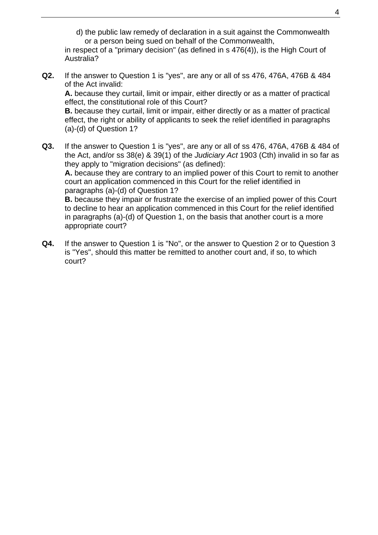d) the public law remedy of declaration in a suit against the Commonwealth or a person being sued on behalf of the Commonwealth,

 in respect of a "primary decision" (as defined in s 476(4)), is the High Court of Australia?

**Q2.** If the answer to Question 1 is "yes", are any or all of ss 476, 476A, 476B & 484 of the Act invalid: **A.** because they curtail, limit or impair, either directly or as a matter of practical

 effect, the constitutional role of this Court? **B.** because they curtail, limit or impair, either directly or as a matter of practical

 effect, the right or ability of applicants to seek the relief identified in paragraphs (a)-(d) of Question 1?

**Q3.** If the answer to Question 1 is "yes", are any or all of ss 476, 476A, 476B & 484 of the Act, and/or ss 38(e) & 39(1) of the *Judiciary Act* 1903 (Cth) invalid in so far as they apply to "migration decisions" (as defined):

**A.** because they are contrary to an implied power of this Court to remit to another court an application commenced in this Court for the relief identified in paragraphs (a)-(d) of Question 1?

**B.** because they impair or frustrate the exercise of an implied power of this Court to decline to hear an application commenced in this Court for the relief identified in paragraphs (a)-(d) of Question 1, on the basis that another court is a more appropriate court?

**Q4.** If the answer to Question 1 is "No", or the answer to Question 2 or to Question 3 is "Yes", should this matter be remitted to another court and, if so, to which court?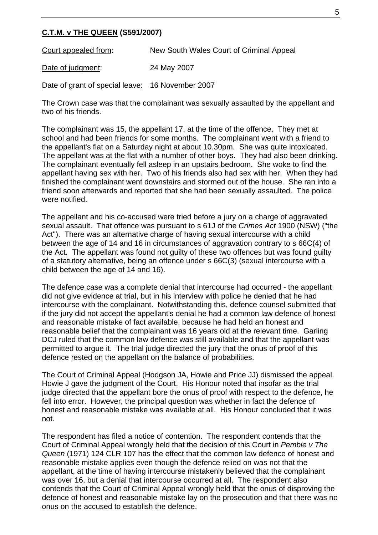#### **C.T.M. v THE QUEEN (S591/2007)**

Court appealed from: New South Wales Court of Criminal Appeal

Date of judgment: 24 May 2007

Date of grant of special leave: 16 November 2007

The Crown case was that the complainant was sexually assaulted by the appellant and two of his friends.

The complainant was 15, the appellant 17, at the time of the offence. They met at school and had been friends for some months. The complainant went with a friend to the appellant's flat on a Saturday night at about 10.30pm. She was quite intoxicated. The appellant was at the flat with a number of other boys. They had also been drinking. The complainant eventually fell asleep in an upstairs bedroom. She woke to find the appellant having sex with her. Two of his friends also had sex with her. When they had finished the complainant went downstairs and stormed out of the house. She ran into a friend soon afterwards and reported that she had been sexually assaulted. The police were notified.

The appellant and his co-accused were tried before a jury on a charge of aggravated sexual assault. That offence was pursuant to s 61J of the *Crimes Act* 1900 (NSW) ("the Act"). There was an alternative charge of having sexual intercourse with a child between the age of 14 and 16 in circumstances of aggravation contrary to s 66C(4) of the Act. The appellant was found not guilty of these two offences but was found guilty of a statutory alternative, being an offence under s 66C(3) (sexual intercourse with a child between the age of 14 and 16).

The defence case was a complete denial that intercourse had occurred - the appellant did not give evidence at trial, but in his interview with police he denied that he had intercourse with the complainant. Notwithstanding this, defence counsel submitted that if the jury did not accept the appellant's denial he had a common law defence of honest and reasonable mistake of fact available, because he had held an honest and reasonable belief that the complainant was 16 years old at the relevant time. Garling DCJ ruled that the common law defence was still available and that the appellant was permitted to argue it. The trial judge directed the jury that the onus of proof of this defence rested on the appellant on the balance of probabilities.

The Court of Criminal Appeal (Hodgson JA, Howie and Price JJ) dismissed the appeal. Howie J gave the judgment of the Court. His Honour noted that insofar as the trial judge directed that the appellant bore the onus of proof with respect to the defence, he fell into error. However, the principal question was whether in fact the defence of honest and reasonable mistake was available at all. His Honour concluded that it was not.

The respondent has filed a notice of contention. The respondent contends that the Court of Criminal Appeal wrongly held that the decision of this Court in *Pemble v The Queen* (1971) 124 CLR 107 has the effect that the common law defence of honest and reasonable mistake applies even though the defence relied on was not that the appellant, at the time of having intercourse mistakenly believed that the complainant was over 16, but a denial that intercourse occurred at all. The respondent also contends that the Court of Criminal Appeal wrongly held that the onus of disproving the defence of honest and reasonable mistake lay on the prosecution and that there was no onus on the accused to establish the defence.